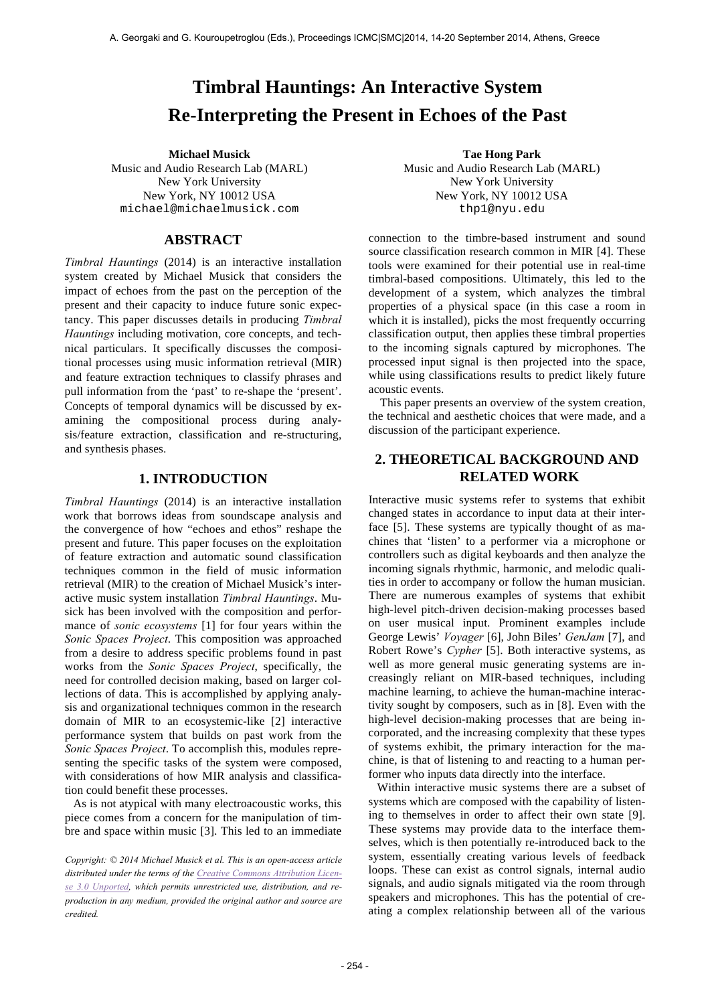# **Timbral Hauntings: An Interactive System Re-Interpreting the Present in Echoes of the Past**

Music and Audio Research Lab (MARL) New York University New York, NY 10012 USA michael@michaelmusick.com

# **ABSTRACT**

*Timbral Hauntings* (2014) is an interactive installation system created by Michael Musick that considers the impact of echoes from the past on the perception of the present and their capacity to induce future sonic expectancy. This paper discusses details in producing *Timbral Hauntings* including motivation, core concepts, and technical particulars. It specifically discusses the compositional processes using music information retrieval (MIR) and feature extraction techniques to classify phrases and pull information from the 'past' to re-shape the 'present'. Concepts of temporal dynamics will be discussed by examining the compositional process during analysis/feature extraction, classification and re-structuring, and synthesis phases.

### **1. INTRODUCTION**

*Timbral Hauntings* (2014) is an interactive installation work that borrows ideas from soundscape analysis and the convergence of how "echoes and ethos" reshape the present and future. This paper focuses on the exploitation of feature extraction and automatic sound classification techniques common in the field of music information retrieval (MIR) to the creation of Michael Musick's interactive music system installation *Timbral Hauntings*. Musick has been involved with the composition and performance of *sonic ecosystems* [1] for four years within the *Sonic Spaces Project*. This composition was approached from a desire to address specific problems found in past works from the *Sonic Spaces Project*, specifically, the need for controlled decision making, based on larger collections of data. This is accomplished by applying analysis and organizational techniques common in the research domain of MIR to an ecosystemic-like [2] interactive performance system that builds on past work from the *Sonic Spaces Project*. To accomplish this, modules representing the specific tasks of the system were composed, with considerations of how MIR analysis and classification could benefit these processes.

As is not atypical with many electroacoustic works, this piece comes from a concern for the manipulation of timbre and space within music [3]. This led to an immediate

*Copyright: © 2014 Michael Musick et al. This is an open-access article distributed under the terms of the Creative Commons Attribution License 3.0 Unported, which permits unrestricted use, distribution, and reproduction in any medium, provided the original author and source are credited.*

**Michael Musick Tae Hong Park** Music and Audio Research Lab (MARL) New York University New York, NY 10012 USA thp1@nyu.edu

> connection to the timbre-based instrument and sound source classification research common in MIR [4]. These tools were examined for their potential use in real-time timbral-based compositions. Ultimately, this led to the development of a system, which analyzes the timbral properties of a physical space (in this case a room in which it is installed), picks the most frequently occurring classification output, then applies these timbral properties to the incoming signals captured by microphones. The processed input signal is then projected into the space, while using classifications results to predict likely future acoustic events.

> This paper presents an overview of the system creation, the technical and aesthetic choices that were made, and a discussion of the participant experience.

# **2. THEORETICAL BACKGROUND AND RELATED WORK**

Interactive music systems refer to systems that exhibit changed states in accordance to input data at their interface [5]. These systems are typically thought of as machines that 'listen' to a performer via a microphone or controllers such as digital keyboards and then analyze the incoming signals rhythmic, harmonic, and melodic qualities in order to accompany or follow the human musician. There are numerous examples of systems that exhibit high-level pitch-driven decision-making processes based on user musical input. Prominent examples include George Lewis' *Voyager* [6], John Biles' *GenJam* [7], and Robert Rowe's *Cypher* [5]. Both interactive systems, as well as more general music generating systems are increasingly reliant on MIR-based techniques, including machine learning, to achieve the human-machine interactivity sought by composers, such as in [8]. Even with the high-level decision-making processes that are being incorporated, and the increasing complexity that these types of systems exhibit, the primary interaction for the machine, is that of listening to and reacting to a human performer who inputs data directly into the interface.

Within interactive music systems there are a subset of systems which are composed with the capability of listening to themselves in order to affect their own state [9]. These systems may provide data to the interface themselves, which is then potentially re-introduced back to the system, essentially creating various levels of feedback loops. These can exist as control signals, internal audio signals, and audio signals mitigated via the room through speakers and microphones. This has the potential of creating a complex relationship between all of the various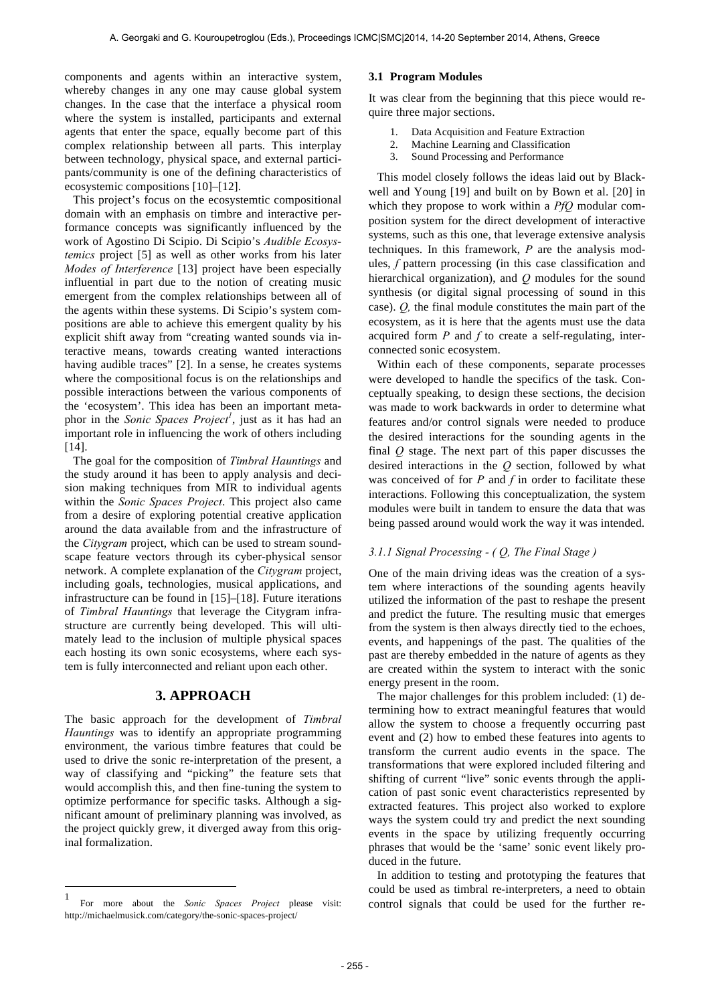components and agents within an interactive system, whereby changes in any one may cause global system changes. In the case that the interface a physical room where the system is installed, participants and external agents that enter the space, equally become part of this complex relationship between all parts. This interplay between technology, physical space, and external participants/community is one of the defining characteristics of ecosystemic compositions [10]–[12].

This project's focus on the ecosystemtic compositional domain with an emphasis on timbre and interactive performance concepts was significantly influenced by the work of Agostino Di Scipio. Di Scipio's *Audible Ecosystemics* project [5] as well as other works from his later *Modes of Interference* [13] project have been especially influential in part due to the notion of creating music emergent from the complex relationships between all of the agents within these systems. Di Scipio's system compositions are able to achieve this emergent quality by his explicit shift away from "creating wanted sounds via interactive means, towards creating wanted interactions having audible traces" [2]. In a sense, he creates systems where the compositional focus is on the relationships and possible interactions between the various components of the 'ecosystem'. This idea has been an important metaphor in the *Sonic Spaces Project<sup>1</sup>*, just as it has had an important role in influencing the work of others including [14].

The goal for the composition of *Timbral Hauntings* and the study around it has been to apply analysis and decision making techniques from MIR to individual agents within the *Sonic Spaces Project*. This project also came from a desire of exploring potential creative application around the data available from and the infrastructure of the *Citygram* project, which can be used to stream soundscape feature vectors through its cyber-physical sensor network. A complete explanation of the *Citygram* project, including goals, technologies, musical applications, and infrastructure can be found in [15]–[18]. Future iterations of *Timbral Hauntings* that leverage the Citygram infrastructure are currently being developed. This will ultimately lead to the inclusion of multiple physical spaces each hosting its own sonic ecosystems, where each system is fully interconnected and reliant upon each other.

#### **3. APPROACH**

The basic approach for the development of *Timbral Hauntings* was to identify an appropriate programming environment, the various timbre features that could be used to drive the sonic re-interpretation of the present, a way of classifying and "picking" the feature sets that would accomplish this, and then fine-tuning the system to optimize performance for specific tasks. Although a significant amount of preliminary planning was involved, as the project quickly grew, it diverged away from this original formalization.

 $\overline{a}$ 

#### **3.1 Program Modules**

It was clear from the beginning that this piece would require three major sections.

- 1. Data Acquisition and Feature Extraction
- 2. Machine Learning and Classification
- 3. Sound Processing and Performance

This model closely follows the ideas laid out by Blackwell and Young [19] and built on by Bown et al. [20] in which they propose to work within a *PfQ* modular composition system for the direct development of interactive systems, such as this one, that leverage extensive analysis techniques. In this framework, *P* are the analysis modules, *f* pattern processing (in this case classification and hierarchical organization), and *Q* modules for the sound synthesis (or digital signal processing of sound in this case). *Q,* the final module constitutes the main part of the ecosystem, as it is here that the agents must use the data acquired form *P* and *f* to create a self-regulating, interconnected sonic ecosystem.

Within each of these components, separate processes were developed to handle the specifics of the task. Conceptually speaking, to design these sections, the decision was made to work backwards in order to determine what features and/or control signals were needed to produce the desired interactions for the sounding agents in the final *Q* stage. The next part of this paper discusses the desired interactions in the *Q* section, followed by what was conceived of for *P* and *f* in order to facilitate these interactions. Following this conceptualization, the system modules were built in tandem to ensure the data that was being passed around would work the way it was intended.

#### *3.1.1 Signal Processing - ( Q, The Final Stage )*

One of the main driving ideas was the creation of a system where interactions of the sounding agents heavily utilized the information of the past to reshape the present and predict the future. The resulting music that emerges from the system is then always directly tied to the echoes, events, and happenings of the past. The qualities of the past are thereby embedded in the nature of agents as they are created within the system to interact with the sonic energy present in the room.

The major challenges for this problem included: (1) determining how to extract meaningful features that would allow the system to choose a frequently occurring past event and (2) how to embed these features into agents to transform the current audio events in the space. The transformations that were explored included filtering and shifting of current "live" sonic events through the application of past sonic event characteristics represented by extracted features. This project also worked to explore ways the system could try and predict the next sounding events in the space by utilizing frequently occurring phrases that would be the 'same' sonic event likely produced in the future.

In addition to testing and prototyping the features that could be used as timbral re-interpreters, a need to obtain control signals that could be used for the further re-

<sup>1</sup> For more about the *Sonic Spaces Project* please visit: http://michaelmusick.com/category/the-sonic-spaces-project/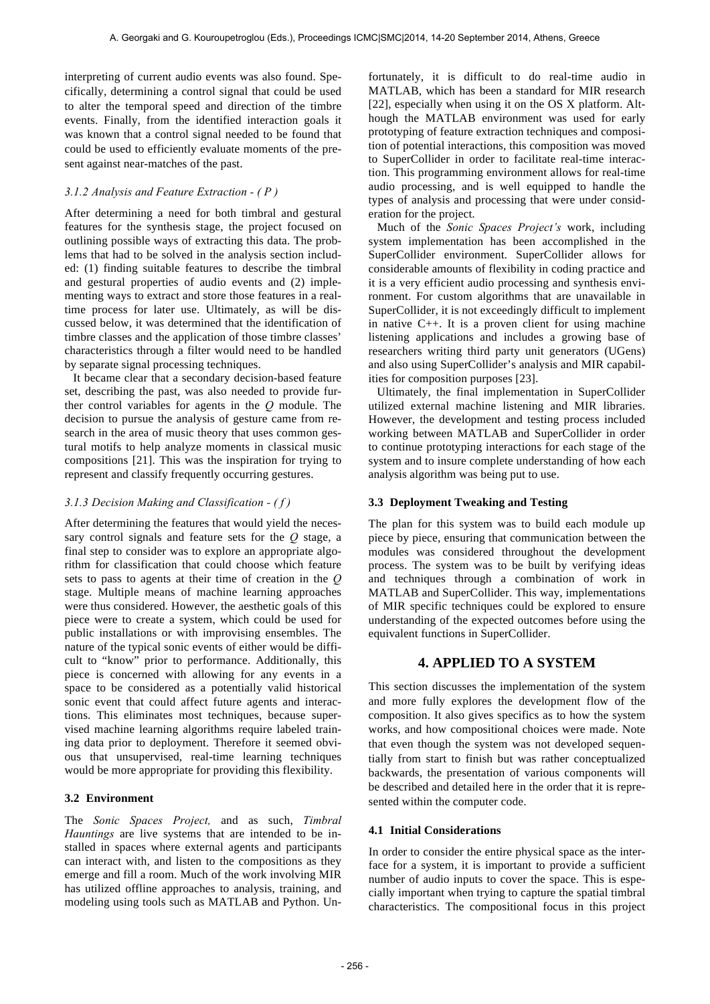interpreting of current audio events was also found. Specifically, determining a control signal that could be used to alter the temporal speed and direction of the timbre events. Finally, from the identified interaction goals it was known that a control signal needed to be found that could be used to efficiently evaluate moments of the present against near-matches of the past.

### *3.1.2 Analysis and Feature Extraction - ( P )*

After determining a need for both timbral and gestural features for the synthesis stage, the project focused on outlining possible ways of extracting this data. The problems that had to be solved in the analysis section included: (1) finding suitable features to describe the timbral and gestural properties of audio events and (2) implementing ways to extract and store those features in a realtime process for later use. Ultimately, as will be discussed below, it was determined that the identification of timbre classes and the application of those timbre classes' characteristics through a filter would need to be handled by separate signal processing techniques.

It became clear that a secondary decision-based feature set, describing the past, was also needed to provide further control variables for agents in the *Q* module. The decision to pursue the analysis of gesture came from research in the area of music theory that uses common gestural motifs to help analyze moments in classical music compositions [21]. This was the inspiration for trying to represent and classify frequently occurring gestures.

#### *3.1.3 Decision Making and Classification - ( f )*

After determining the features that would yield the necessary control signals and feature sets for the *Q* stage, a final step to consider was to explore an appropriate algorithm for classification that could choose which feature sets to pass to agents at their time of creation in the *Q* stage. Multiple means of machine learning approaches were thus considered. However, the aesthetic goals of this piece were to create a system, which could be used for public installations or with improvising ensembles. The nature of the typical sonic events of either would be difficult to "know" prior to performance. Additionally, this piece is concerned with allowing for any events in a space to be considered as a potentially valid historical sonic event that could affect future agents and interactions. This eliminates most techniques, because supervised machine learning algorithms require labeled training data prior to deployment. Therefore it seemed obvious that unsupervised, real-time learning techniques would be more appropriate for providing this flexibility.

#### **3.2 Environment**

The *Sonic Spaces Project,* and as such, *Timbral Hauntings* are live systems that are intended to be installed in spaces where external agents and participants can interact with, and listen to the compositions as they emerge and fill a room. Much of the work involving MIR has utilized offline approaches to analysis, training, and modeling using tools such as MATLAB and Python. Un-

fortunately, it is difficult to do real-time audio in MATLAB, which has been a standard for MIR research [22], especially when using it on the OS X platform. Although the MATLAB environment was used for early prototyping of feature extraction techniques and composition of potential interactions, this composition was moved to SuperCollider in order to facilitate real-time interaction. This programming environment allows for real-time audio processing, and is well equipped to handle the types of analysis and processing that were under consideration for the project.

Much of the *Sonic Spaces Project's* work, including system implementation has been accomplished in the SuperCollider environment. SuperCollider allows for considerable amounts of flexibility in coding practice and it is a very efficient audio processing and synthesis environment. For custom algorithms that are unavailable in SuperCollider, it is not exceedingly difficult to implement in native C++. It is a proven client for using machine listening applications and includes a growing base of researchers writing third party unit generators (UGens) and also using SuperCollider's analysis and MIR capabilities for composition purposes [23].

Ultimately, the final implementation in SuperCollider utilized external machine listening and MIR libraries. However, the development and testing process included working between MATLAB and SuperCollider in order to continue prototyping interactions for each stage of the system and to insure complete understanding of how each analysis algorithm was being put to use.

#### **3.3 Deployment Tweaking and Testing**

The plan for this system was to build each module up piece by piece, ensuring that communication between the modules was considered throughout the development process. The system was to be built by verifying ideas and techniques through a combination of work in MATLAB and SuperCollider. This way, implementations of MIR specific techniques could be explored to ensure understanding of the expected outcomes before using the equivalent functions in SuperCollider.

# **4. APPLIED TO A SYSTEM**

This section discusses the implementation of the system and more fully explores the development flow of the composition. It also gives specifics as to how the system works, and how compositional choices were made. Note that even though the system was not developed sequentially from start to finish but was rather conceptualized backwards, the presentation of various components will be described and detailed here in the order that it is represented within the computer code.

#### **4.1 Initial Considerations**

In order to consider the entire physical space as the interface for a system, it is important to provide a sufficient number of audio inputs to cover the space. This is especially important when trying to capture the spatial timbral characteristics. The compositional focus in this project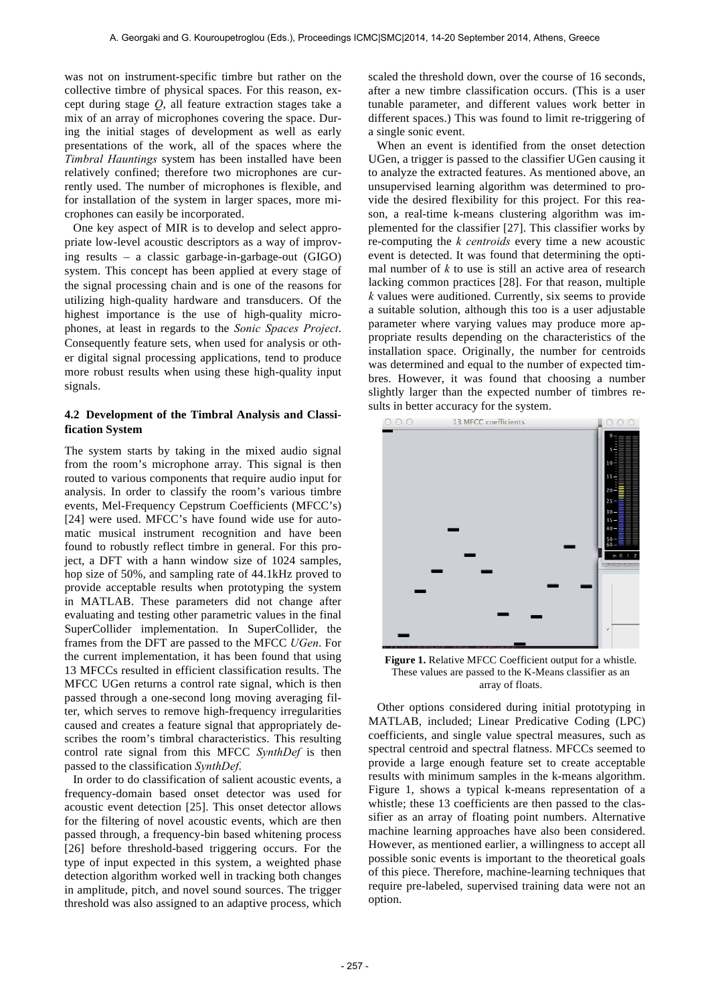was not on instrument-specific timbre but rather on the collective timbre of physical spaces. For this reason, except during stage *Q*, all feature extraction stages take a mix of an array of microphones covering the space. During the initial stages of development as well as early presentations of the work, all of the spaces where the *Timbral Hauntings* system has been installed have been relatively confined; therefore two microphones are currently used. The number of microphones is flexible, and for installation of the system in larger spaces, more microphones can easily be incorporated.

One key aspect of MIR is to develop and select appropriate low-level acoustic descriptors as a way of improving results – a classic garbage-in-garbage-out (GIGO) system. This concept has been applied at every stage of the signal processing chain and is one of the reasons for utilizing high-quality hardware and transducers. Of the highest importance is the use of high-quality microphones, at least in regards to the *Sonic Spaces Project*. Consequently feature sets, when used for analysis or other digital signal processing applications, tend to produce more robust results when using these high-quality input signals.

#### **4.2 Development of the Timbral Analysis and Classification System**

The system starts by taking in the mixed audio signal from the room's microphone array. This signal is then routed to various components that require audio input for analysis. In order to classify the room's various timbre events, Mel-Frequency Cepstrum Coefficients (MFCC's) [24] were used. MFCC's have found wide use for automatic musical instrument recognition and have been found to robustly reflect timbre in general. For this project, a DFT with a hann window size of 1024 samples, hop size of 50%, and sampling rate of 44.1kHz proved to provide acceptable results when prototyping the system in MATLAB. These parameters did not change after evaluating and testing other parametric values in the final SuperCollider implementation. In SuperCollider, the frames from the DFT are passed to the MFCC *UGen*. For the current implementation, it has been found that using 13 MFCCs resulted in efficient classification results. The MFCC UGen returns a control rate signal, which is then passed through a one-second long moving averaging filter, which serves to remove high-frequency irregularities caused and creates a feature signal that appropriately describes the room's timbral characteristics. This resulting control rate signal from this MFCC *SynthDef* is then passed to the classification *SynthDef*.

In order to do classification of salient acoustic events, a frequency-domain based onset detector was used for acoustic event detection [25]. This onset detector allows for the filtering of novel acoustic events, which are then passed through, a frequency-bin based whitening process [26] before threshold-based triggering occurs. For the type of input expected in this system, a weighted phase detection algorithm worked well in tracking both changes in amplitude, pitch, and novel sound sources. The trigger threshold was also assigned to an adaptive process, which

scaled the threshold down, over the course of 16 seconds, after a new timbre classification occurs. (This is a user tunable parameter, and different values work better in different spaces.) This was found to limit re-triggering of a single sonic event.

When an event is identified from the onset detection UGen, a trigger is passed to the classifier UGen causing it to analyze the extracted features. As mentioned above, an unsupervised learning algorithm was determined to provide the desired flexibility for this project. For this reason, a real-time k-means clustering algorithm was implemented for the classifier [27]. This classifier works by re-computing the *k centroids* every time a new acoustic event is detected. It was found that determining the optimal number of *k* to use is still an active area of research lacking common practices [28]. For that reason, multiple *k* values were auditioned. Currently, six seems to provide a suitable solution, although this too is a user adjustable parameter where varying values may produce more appropriate results depending on the characteristics of the installation space. Originally, the number for centroids was determined and equal to the number of expected timbres. However, it was found that choosing a number slightly larger than the expected number of timbres results in better accuracy for the system.



**Figure 1.** Relative MFCC Coefficient output for a whistle. These values are passed to the K-Means classifier as an array of floats.

Other options considered during initial prototyping in MATLAB, included; Linear Predicative Coding (LPC) coefficients, and single value spectral measures, such as spectral centroid and spectral flatness. MFCCs seemed to provide a large enough feature set to create acceptable results with minimum samples in the k-means algorithm. Figure 1, shows a typical k-means representation of a whistle; these 13 coefficients are then passed to the classifier as an array of floating point numbers. Alternative machine learning approaches have also been considered. However, as mentioned earlier, a willingness to accept all possible sonic events is important to the theoretical goals of this piece. Therefore, machine-learning techniques that require pre-labeled, supervised training data were not an option.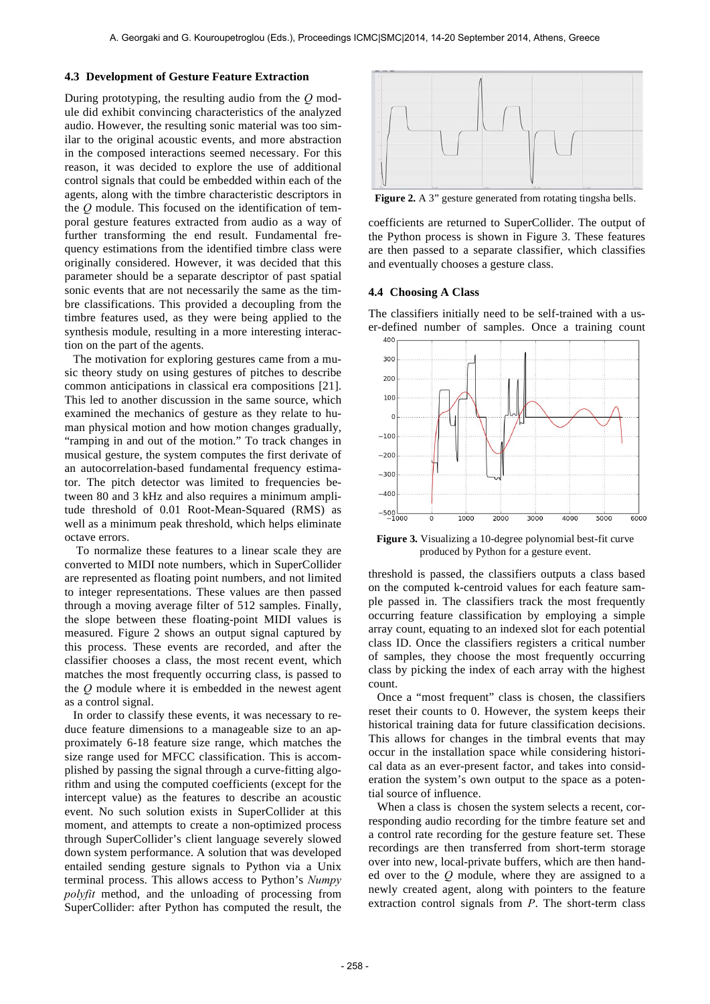#### **4.3 Development of Gesture Feature Extraction**

During prototyping, the resulting audio from the *Q* module did exhibit convincing characteristics of the analyzed audio. However, the resulting sonic material was too similar to the original acoustic events, and more abstraction in the composed interactions seemed necessary. For this reason, it was decided to explore the use of additional control signals that could be embedded within each of the agents, along with the timbre characteristic descriptors in the *Q* module. This focused on the identification of temporal gesture features extracted from audio as a way of further transforming the end result. Fundamental frequency estimations from the identified timbre class were originally considered. However, it was decided that this parameter should be a separate descriptor of past spatial sonic events that are not necessarily the same as the timbre classifications. This provided a decoupling from the timbre features used, as they were being applied to the synthesis module, resulting in a more interesting interaction on the part of the agents.

The motivation for exploring gestures came from a music theory study on using gestures of pitches to describe common anticipations in classical era compositions [21]. This led to another discussion in the same source, which examined the mechanics of gesture as they relate to human physical motion and how motion changes gradually, "ramping in and out of the motion." To track changes in musical gesture, the system computes the first derivate of an autocorrelation-based fundamental frequency estimator. The pitch detector was limited to frequencies between 80 and 3 kHz and also requires a minimum amplitude threshold of 0.01 Root-Mean-Squared (RMS) as well as a minimum peak threshold, which helps eliminate octave errors.

To normalize these features to a linear scale they are converted to MIDI note numbers, which in SuperCollider are represented as floating point numbers, and not limited to integer representations. These values are then passed through a moving average filter of 512 samples. Finally, the slope between these floating-point MIDI values is measured. Figure 2 shows an output signal captured by this process. These events are recorded, and after the classifier chooses a class, the most recent event, which matches the most frequently occurring class, is passed to the *Q* module where it is embedded in the newest agent as a control signal.

In order to classify these events, it was necessary to reduce feature dimensions to a manageable size to an approximately 6-18 feature size range, which matches the size range used for MFCC classification. This is accomplished by passing the signal through a curve-fitting algorithm and using the computed coefficients (except for the intercept value) as the features to describe an acoustic event. No such solution exists in SuperCollider at this moment, and attempts to create a non-optimized process through SuperCollider's client language severely slowed down system performance. A solution that was developed entailed sending gesture signals to Python via a Unix terminal process. This allows access to Python's *Numpy polyfit* method, and the unloading of processing from SuperCollider: after Python has computed the result, the



**Figure 2.** A 3" gesture generated from rotating tingsha bells.

coefficients are returned to SuperCollider. The output of the Python process is shown in Figure 3. These features are then passed to a separate classifier, which classifies and eventually chooses a gesture class.

#### **4.4 Choosing A Class**

The classifiers initially need to be self-trained with a user-defined number of samples. Once a training count



**Figure 3.** Visualizing a 10-degree polynomial best-fit curve produced by Python for a gesture event.

threshold is passed, the classifiers outputs a class based on the computed k-centroid values for each feature sample passed in. The classifiers track the most frequently occurring feature classification by employing a simple array count, equating to an indexed slot for each potential class ID. Once the classifiers registers a critical number of samples, they choose the most frequently occurring class by picking the index of each array with the highest count.

Once a "most frequent" class is chosen, the classifiers reset their counts to 0. However, the system keeps their historical training data for future classification decisions. This allows for changes in the timbral events that may occur in the installation space while considering historical data as an ever-present factor, and takes into consideration the system's own output to the space as a potential source of influence.

When a class is chosen the system selects a recent, corresponding audio recording for the timbre feature set and a control rate recording for the gesture feature set. These recordings are then transferred from short-term storage over into new, local-private buffers, which are then handed over to the *Q* module, where they are assigned to a newly created agent, along with pointers to the feature extraction control signals from *P*. The short-term class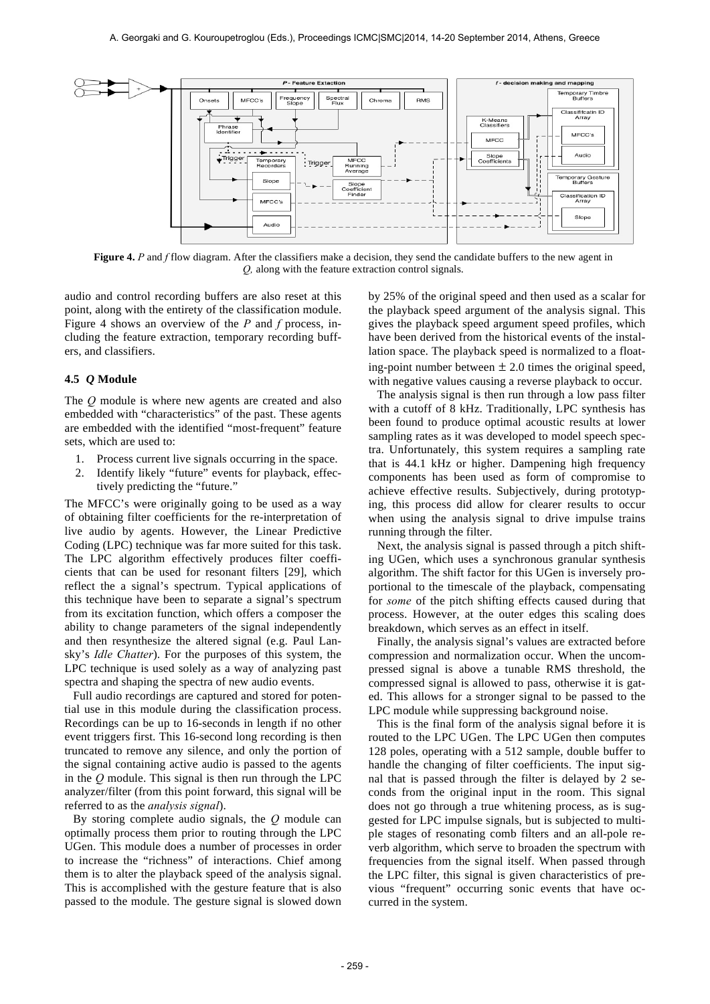

**Figure 4.** *P* and *f* flow diagram. After the classifiers make a decision, they send the candidate buffers to the new agent in *Q,* along with the feature extraction control signals.

audio and control recording buffers are also reset at this point, along with the entirety of the classification module. Figure 4 shows an overview of the *P* and *f* process, including the feature extraction, temporary recording buffers, and classifiers.

#### **4.5** *Q* **Module**

The *Q* module is where new agents are created and also embedded with "characteristics" of the past. These agents are embedded with the identified "most-frequent" feature sets, which are used to:

- 1. Process current live signals occurring in the space.
- 2. Identify likely "future" events for playback, effectively predicting the "future."

The MFCC's were originally going to be used as a way of obtaining filter coefficients for the re-interpretation of live audio by agents. However, the Linear Predictive Coding (LPC) technique was far more suited for this task. The LPC algorithm effectively produces filter coefficients that can be used for resonant filters [29], which reflect the a signal's spectrum. Typical applications of this technique have been to separate a signal's spectrum from its excitation function, which offers a composer the ability to change parameters of the signal independently and then resynthesize the altered signal (e.g. Paul Lansky's *Idle Chatter*). For the purposes of this system, the LPC technique is used solely as a way of analyzing past spectra and shaping the spectra of new audio events.

Full audio recordings are captured and stored for potential use in this module during the classification process. Recordings can be up to 16-seconds in length if no other event triggers first. This 16-second long recording is then truncated to remove any silence, and only the portion of the signal containing active audio is passed to the agents in the *Q* module. This signal is then run through the LPC analyzer/filter (from this point forward, this signal will be referred to as the *analysis signal*).

By storing complete audio signals, the *Q* module can optimally process them prior to routing through the LPC UGen. This module does a number of processes in order to increase the "richness" of interactions. Chief among them is to alter the playback speed of the analysis signal. This is accomplished with the gesture feature that is also passed to the module. The gesture signal is slowed down

by 25% of the original speed and then used as a scalar for the playback speed argument of the analysis signal. This gives the playback speed argument speed profiles, which have been derived from the historical events of the installation space. The playback speed is normalized to a floating-point number between  $\pm 2.0$  times the original speed, with negative values causing a reverse playback to occur.

The analysis signal is then run through a low pass filter with a cutoff of 8 kHz. Traditionally, LPC synthesis has been found to produce optimal acoustic results at lower sampling rates as it was developed to model speech spectra. Unfortunately, this system requires a sampling rate that is 44.1 kHz or higher. Dampening high frequency components has been used as form of compromise to achieve effective results. Subjectively, during prototyping, this process did allow for clearer results to occur when using the analysis signal to drive impulse trains running through the filter.

Next, the analysis signal is passed through a pitch shifting UGen, which uses a synchronous granular synthesis algorithm. The shift factor for this UGen is inversely proportional to the timescale of the playback, compensating for *some* of the pitch shifting effects caused during that process. However, at the outer edges this scaling does breakdown, which serves as an effect in itself.

Finally, the analysis signal's values are extracted before compression and normalization occur. When the uncompressed signal is above a tunable RMS threshold, the compressed signal is allowed to pass, otherwise it is gated. This allows for a stronger signal to be passed to the LPC module while suppressing background noise.

This is the final form of the analysis signal before it is routed to the LPC UGen. The LPC UGen then computes 128 poles, operating with a 512 sample, double buffer to handle the changing of filter coefficients. The input signal that is passed through the filter is delayed by 2 seconds from the original input in the room. This signal does not go through a true whitening process, as is suggested for LPC impulse signals, but is subjected to multiple stages of resonating comb filters and an all-pole reverb algorithm, which serve to broaden the spectrum with frequencies from the signal itself. When passed through the LPC filter, this signal is given characteristics of previous "frequent" occurring sonic events that have occurred in the system.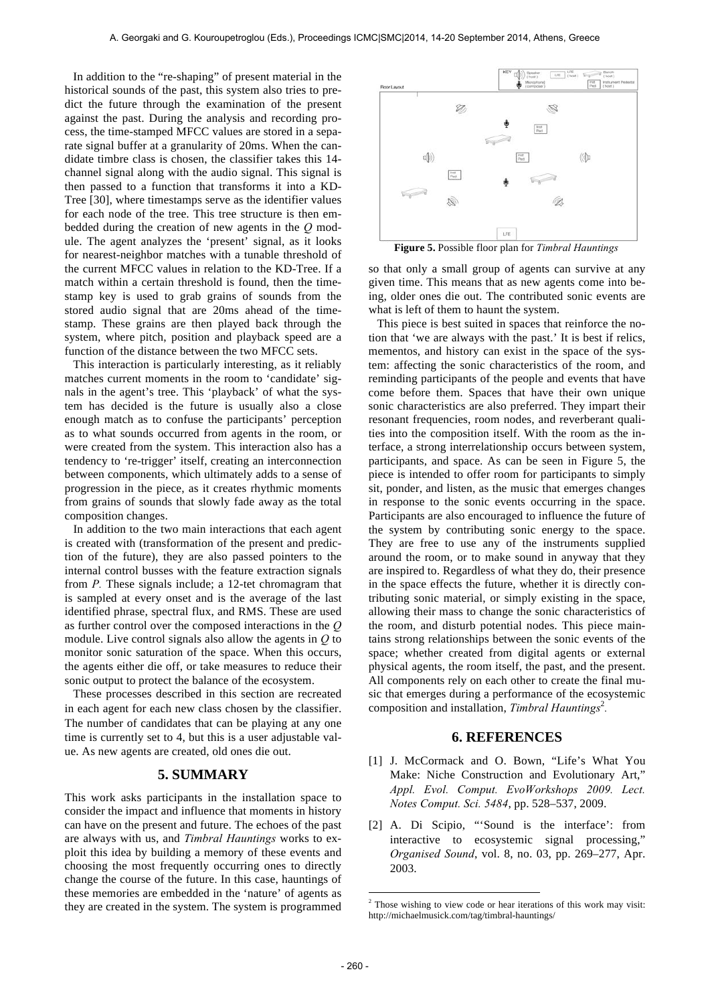In addition to the "re-shaping" of present material in the historical sounds of the past, this system also tries to predict the future through the examination of the present against the past. During the analysis and recording process, the time-stamped MFCC values are stored in a separate signal buffer at a granularity of 20ms. When the candidate timbre class is chosen, the classifier takes this 14 channel signal along with the audio signal. This signal is then passed to a function that transforms it into a KD-Tree [30], where timestamps serve as the identifier values for each node of the tree. This tree structure is then embedded during the creation of new agents in the *Q* module. The agent analyzes the 'present' signal, as it looks for nearest-neighbor matches with a tunable threshold of the current MFCC values in relation to the KD-Tree. If a match within a certain threshold is found, then the timestamp key is used to grab grains of sounds from the stored audio signal that are 20ms ahead of the timestamp. These grains are then played back through the system, where pitch, position and playback speed are a function of the distance between the two MFCC sets.

This interaction is particularly interesting, as it reliably matches current moments in the room to 'candidate' signals in the agent's tree. This 'playback' of what the system has decided is the future is usually also a close enough match as to confuse the participants' perception as to what sounds occurred from agents in the room, or were created from the system. This interaction also has a tendency to 're-trigger' itself, creating an interconnection between components, which ultimately adds to a sense of progression in the piece, as it creates rhythmic moments from grains of sounds that slowly fade away as the total composition changes.

In addition to the two main interactions that each agent is created with (transformation of the present and prediction of the future), they are also passed pointers to the internal control busses with the feature extraction signals from *P.* These signals include; a 12-tet chromagram that is sampled at every onset and is the average of the last identified phrase, spectral flux, and RMS. These are used as further control over the composed interactions in the *Q* module. Live control signals also allow the agents in *Q* to monitor sonic saturation of the space. When this occurs, the agents either die off, or take measures to reduce their sonic output to protect the balance of the ecosystem.

These processes described in this section are recreated in each agent for each new class chosen by the classifier. The number of candidates that can be playing at any one time is currently set to 4, but this is a user adjustable value. As new agents are created, old ones die out.

# **5. SUMMARY**

This work asks participants in the installation space to consider the impact and influence that moments in history can have on the present and future. The echoes of the past are always with us, and *Timbral Hauntings* works to exploit this idea by building a memory of these events and choosing the most frequently occurring ones to directly change the course of the future. In this case, hauntings of these memories are embedded in the 'nature' of agents as they are created in the system. The system is programmed



**Figure 5.** Possible floor plan for *Timbral Hauntings*

so that only a small group of agents can survive at any given time. This means that as new agents come into being, older ones die out. The contributed sonic events are what is left of them to haunt the system.

This piece is best suited in spaces that reinforce the notion that 'we are always with the past.' It is best if relics, mementos, and history can exist in the space of the system: affecting the sonic characteristics of the room, and reminding participants of the people and events that have come before them. Spaces that have their own unique sonic characteristics are also preferred. They impart their resonant frequencies, room nodes, and reverberant qualities into the composition itself. With the room as the interface, a strong interrelationship occurs between system, participants, and space. As can be seen in Figure 5, the piece is intended to offer room for participants to simply sit, ponder, and listen, as the music that emerges changes in response to the sonic events occurring in the space. Participants are also encouraged to influence the future of the system by contributing sonic energy to the space. They are free to use any of the instruments supplied around the room, or to make sound in anyway that they are inspired to. Regardless of what they do, their presence in the space effects the future, whether it is directly contributing sonic material, or simply existing in the space, allowing their mass to change the sonic characteristics of the room, and disturb potential nodes. This piece maintains strong relationships between the sonic events of the space; whether created from digital agents or external physical agents, the room itself, the past, and the present. All components rely on each other to create the final music that emerges during a performance of the ecosystemic composition and installation, *Timbral Hauntings*<sup>2</sup>.

#### **6. REFERENCES**

- [1] J. McCormack and O. Bown, "Life's What You Make: Niche Construction and Evolutionary Art," *Appl. Evol. Comput. EvoWorkshops 2009. Lect. Notes Comput. Sci. 5484*, pp. 528–537, 2009.
- [2] A. Di Scipio, "'Sound is the interface': from interactive to ecosystemic signal processing," *Organised Sound*, vol. 8, no. 03, pp. 269–277, Apr. 2003.

<u>.</u>

 $2$  Those wishing to view code or hear iterations of this work may visit: http://michaelmusick.com/tag/timbral-hauntings/